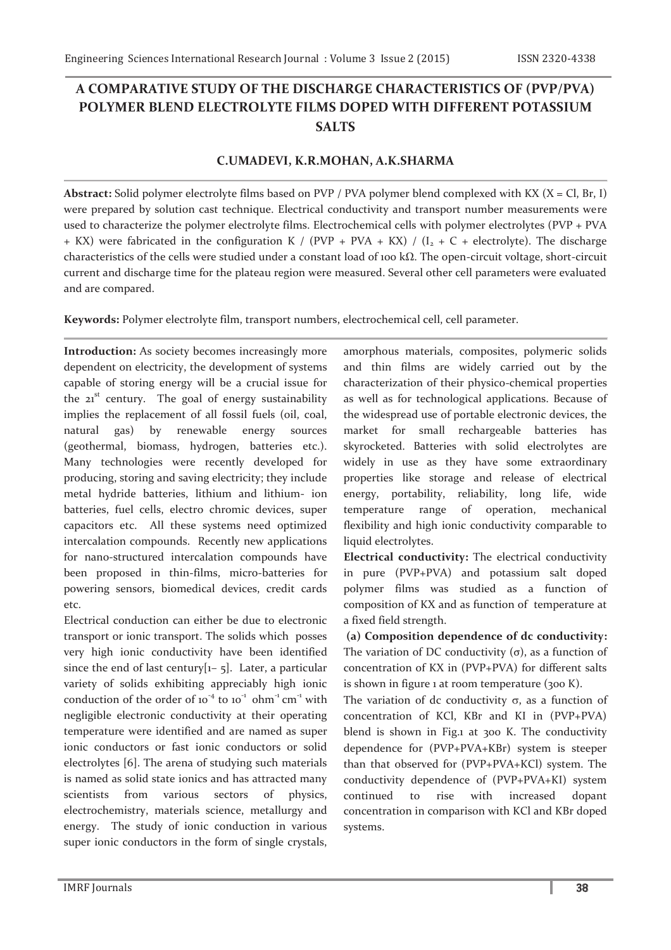## **A COMPARATIVE STUDY OF THE DISCHARGE CHARACTERISTICS OF (PVP/PVA) POLYMER BLEND ELECTROLYTE FILMS DOPED WITH DIFFERENT POTASSIUM SALTS**

## **C.UMADEVI, K.R.MOHAN, A.K.SHARMA**

**Abstract:** Solid polymer electrolyte films based on PVP / PVA polymer blend complexed with KX (X = Cl, Br, I) were prepared by solution cast technique. Electrical conductivity and transport number measurements were used to characterize the polymer electrolyte films. Electrochemical cells with polymer electrolytes (PVP + PVA + KX) were fabricated in the configuration K / (PVP + PVA + KX) / ( $I_2$  + C + electrolyte). The discharge characteristics of the cells were studied under a constant load of 100 kΩ. The open-circuit voltage, short-circuit current and discharge time for the plateau region were measured. Several other cell parameters were evaluated and are compared.

**Keywords:** Polymer electrolyte film, transport numbers, electrochemical cell, cell parameter.

**Introduction:** As society becomes increasingly more dependent on electricity, the development of systems capable of storing energy will be a crucial issue for the  $21<sup>st</sup>$  century. The goal of energy sustainability implies the replacement of all fossil fuels (oil, coal, natural gas) by renewable energy sources (geothermal, biomass, hydrogen, batteries etc.). Many technologies were recently developed for producing, storing and saving electricity; they include metal hydride batteries, lithium and lithium- ion batteries, fuel cells, electro chromic devices, super capacitors etc. All these systems need optimized intercalation compounds. Recently new applications for nano-structured intercalation compounds have been proposed in thin-films, micro-batteries for powering sensors, biomedical devices, credit cards etc.

Electrical conduction can either be due to electronic transport or ionic transport. The solids which posses very high ionic conductivity have been identified since the end of last century $[1-\frac{1}{2}]$ . Later, a particular variety of solids exhibiting appreciably high ionic conduction of the order of  $10^{-4}$  to  $10^{-1}$  ohm<sup>-1</sup> cm<sup>-1</sup> with negligible electronic conductivity at their operating temperature were identified and are named as super ionic conductors or fast ionic conductors or solid electrolytes [6]. The arena of studying such materials is named as solid state ionics and has attracted many scientists from various sectors of physics, electrochemistry, materials science, metallurgy and energy. The study of ionic conduction in various super ionic conductors in the form of single crystals,

amorphous materials, composites, polymeric solids and thin films are widely carried out by the characterization of their physico-chemical properties as well as for technological applications. Because of the widespread use of portable electronic devices, the market for small rechargeable batteries has skyrocketed. Batteries with solid electrolytes are widely in use as they have some extraordinary properties like storage and release of electrical energy, portability, reliability, long life, wide temperature range of operation, mechanical flexibility and high ionic conductivity comparable to liquid electrolytes.

**Electrical conductivity:** The electrical conductivity in pure (PVP+PVA) and potassium salt doped polymer films was studied as a function of composition of KX and as function of temperature at a fixed field strength.

 **(a) Composition dependence of dc conductivity:**  The variation of DC conductivity  $(σ)$ , as a function of concentration of KX in (PVP+PVA) for different salts is shown in figure  $1$  at room temperature (300 K).

The variation of dc conductivity  $\sigma$ , as a function of concentration of KCl, KBr and KI in (PVP+PVA) blend is shown in Fig.1 at 300 K. The conductivity dependence for (PVP+PVA+KBr) system is steeper than that observed for (PVP+PVA+KCl) system. The conductivity dependence of (PVP+PVA+KI) system continued to rise with increased dopant concentration in comparison with KCl and KBr doped systems.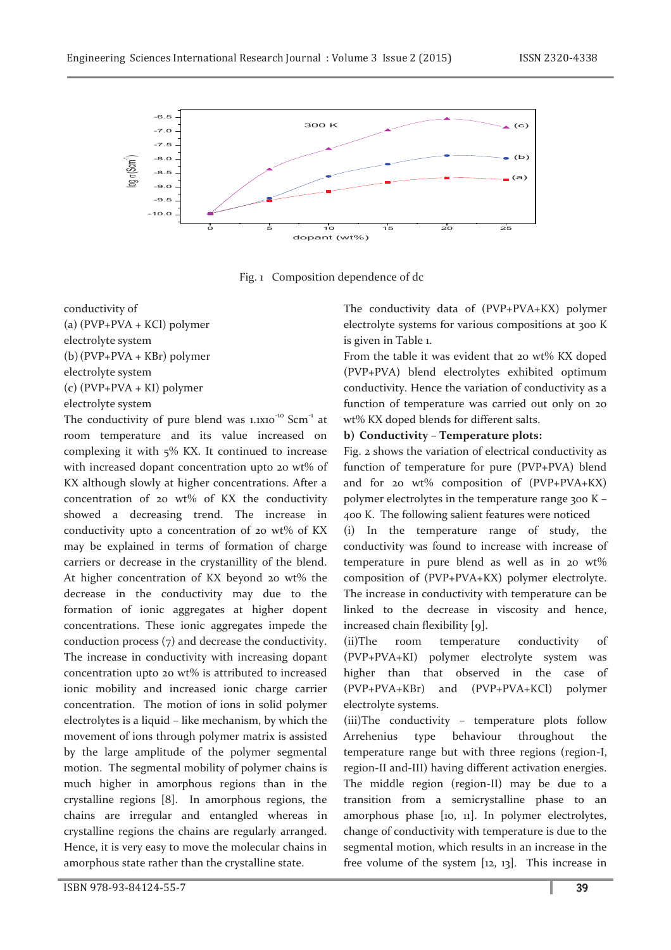

Fig. 1 Composition dependence of dc

conductivity of (a) (PVP+PVA + KCl) polymer electrolyte system (b)(PVP+PVA + KBr) polymer electrolyte system (c) (PVP+PVA + KI) polymer electrolyte system

The conductivity of pure blend was  $1.1X10^{-10}$  Scm<sup>-1</sup> at room temperature and its value increased on complexing it with 5% KX. It continued to increase with increased dopant concentration upto 20 wt% of KX although slowly at higher concentrations. After a concentration of 20 wt% of KX the conductivity showed a decreasing trend. The increase in conductivity upto a concentration of 20 wt% of KX may be explained in terms of formation of charge carriers or decrease in the crystanillity of the blend. At higher concentration of KX beyond 20 wt% the decrease in the conductivity may due to the formation of ionic aggregates at higher dopent concentrations. These ionic aggregates impede the conduction process (7) and decrease the conductivity. The increase in conductivity with increasing dopant concentration upto 20 wt% is attributed to increased ionic mobility and increased ionic charge carrier concentration. The motion of ions in solid polymer electrolytes is a liquid – like mechanism, by which the movement of ions through polymer matrix is assisted by the large amplitude of the polymer segmental motion. The segmental mobility of polymer chains is much higher in amorphous regions than in the crystalline regions [8]. In amorphous regions, the chains are irregular and entangled whereas in crystalline regions the chains are regularly arranged. Hence, it is very easy to move the molecular chains in amorphous state rather than the crystalline state.

The conductivity data of (PVP+PVA+KX) polymer electrolyte systems for various compositions at 300 K is given in Table 1.

From the table it was evident that 20 wt% KX doped (PVP+PVA) blend electrolytes exhibited optimum conductivity. Hence the variation of conductivity as a function of temperature was carried out only on 20 wt% KX doped blends for different salts.

## **b) Conductivity – Temperature plots:**

Fig. 2 shows the variation of electrical conductivity as function of temperature for pure (PVP+PVA) blend and for 20 wt% composition of  $(PVP+PVA+KX)$ polymer electrolytes in the temperature range 300 K – 400 K. The following salient features were noticed

(i) In the temperature range of study, the conductivity was found to increase with increase of temperature in pure blend as well as in 20 wt% composition of (PVP+PVA+KX) polymer electrolyte. The increase in conductivity with temperature can be linked to the decrease in viscosity and hence, increased chain flexibility [9].

(ii)The room temperature conductivity of (PVP+PVA+KI) polymer electrolyte system was higher than that observed in the case of (PVP+PVA+KBr) and (PVP+PVA+KCl) polymer electrolyte systems.

(iii)The conductivity – temperature plots follow Arrehenius type behaviour throughout the temperature range but with three regions (region-I, region-II and-III) having different activation energies. The middle region (region-II) may be due to a transition from a semicrystalline phase to an amorphous phase [10, 11]. In polymer electrolytes, change of conductivity with temperature is due to the segmental motion, which results in an increase in the free volume of the system [12, 13]. This increase in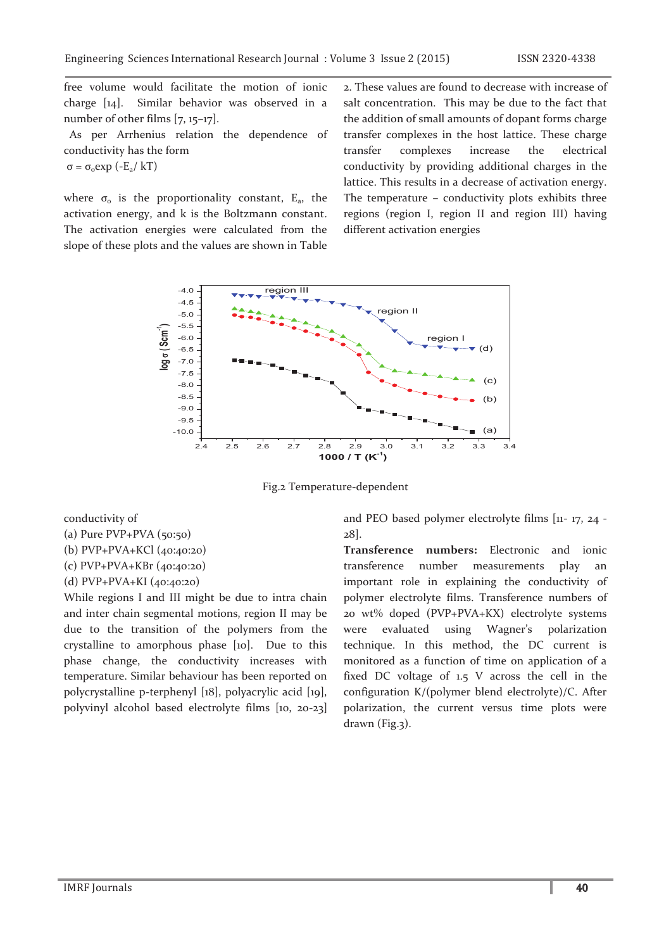free volume would facilitate the motion of ionic charge [14]. Similar behavior was observed in a number of other films [7, 15–17].

 As per Arrhenius relation the dependence of conductivity has the form

 $σ = σ<sub>o</sub> exp (-E<sub>a</sub>/ kT)$ 

where  $\sigma$ <sub>o</sub> is the proportionality constant,  $E$ <sub>a</sub>, the activation energy, and k is the Boltzmann constant. The activation energies were calculated from the slope of these plots and the values are shown in Table

2. These values are found to decrease with increase of salt concentration. This may be due to the fact that the addition of small amounts of dopant forms charge transfer complexes in the host lattice. These charge transfer complexes increase the electrical conductivity by providing additional charges in the lattice. This results in a decrease of activation energy. The temperature – conductivity plots exhibits three regions (region I, region II and region III) having different activation energies



Fig.2 Temperature-dependent

conductivity of (a) Pure  $PVP+PVA$  (50:50)

(b) PVP+PVA+KCl (40:40:20)

(c) PVP+PVA+KBr (40:40:20)

(d) PVP+PVA+KI (40:40:20)

While regions I and III might be due to intra chain and inter chain segmental motions, region II may be due to the transition of the polymers from the crystalline to amorphous phase [10]. Due to this phase change, the conductivity increases with temperature. Similar behaviour has been reported on polycrystalline p-terphenyl [18], polyacrylic acid [19], polyvinyl alcohol based electrolyte films [10, 20-23] and PEO based polymer electrolyte films [11- 17, 24 - 28].

**Transference numbers:** Electronic and ionic transference number measurements play an important role in explaining the conductivity of polymer electrolyte films. Transference numbers of 20 wt% doped (PVP+PVA+KX) electrolyte systems were evaluated using Wagner's polarization technique. In this method, the DC current is monitored as a function of time on application of a fixed DC voltage of 1.5 V across the cell in the configuration K/(polymer blend electrolyte)/C. After polarization, the current versus time plots were drawn (Fig.3).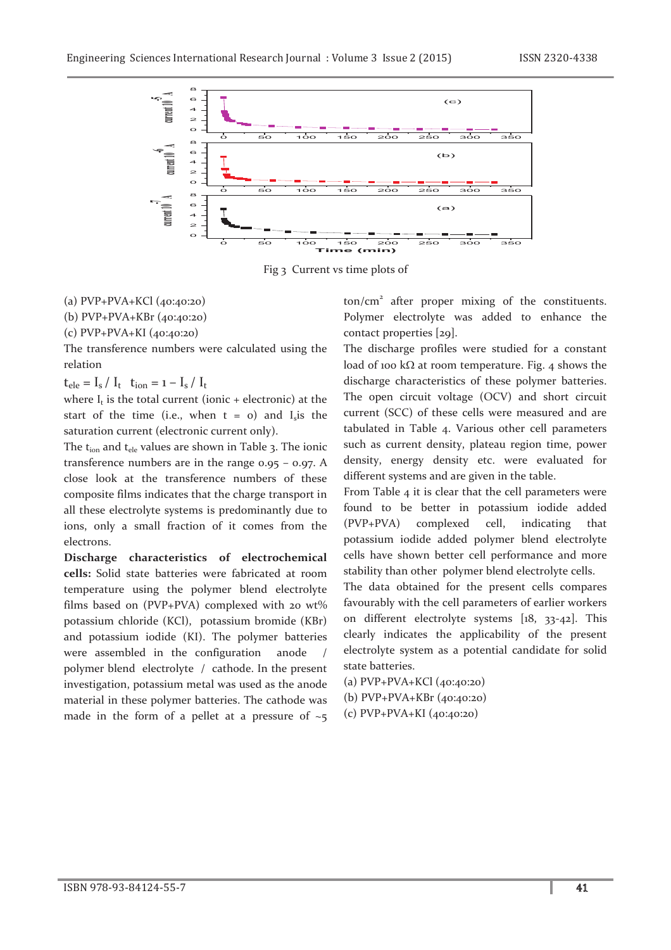

Fig 3 Current vs time plots of

(a) PVP+PVA+KCl (40:40:20)

(b) PVP+PVA+KBr (40:40:20)

(c) PVP+PVA+KI (40:40:20)

The transference numbers were calculated using the relation

 $t_{ele} = I_s / I_t$   $t_{ion} = 1 - I_s / I_t$ 

where  $I_t$  is the total current (ionic + electronic) at the start of the time (i.e., when  $t = o$ ) and  $I_s$  is the saturation current (electronic current only).

The  $t_{ion}$  and  $t_{ele}$  values are shown in Table 3. The ionic transference numbers are in the range 0.95 – 0.97. A close look at the transference numbers of these composite films indicates that the charge transport in all these electrolyte systems is predominantly due to ions, only a small fraction of it comes from the electrons.

**Discharge characteristics of electrochemical cells:** Solid state batteries were fabricated at room temperature using the polymer blend electrolyte films based on (PVP+PVA) complexed with 20  $wt\%$ potassium chloride (KCl), potassium bromide (KBr) and potassium iodide (KI). The polymer batteries were assembled in the configuration anode polymer blend electrolyte / cathode. In the present investigation, potassium metal was used as the anode material in these polymer batteries. The cathode was made in the form of a pellet at a pressure of  $\sim$ 5

ton/cm<sup>2</sup> after proper mixing of the constituents. Polymer electrolyte was added to enhance the contact properties [29].

The discharge profiles were studied for a constant load of 100 k $\Omega$  at room temperature. Fig. 4 shows the discharge characteristics of these polymer batteries. The open circuit voltage (OCV) and short circuit current (SCC) of these cells were measured and are tabulated in Table 4. Various other cell parameters such as current density, plateau region time, power density, energy density etc. were evaluated for different systems and are given in the table.

From Table 4 it is clear that the cell parameters were found to be better in potassium iodide added (PVP+PVA) complexed cell, indicating that potassium iodide added polymer blend electrolyte cells have shown better cell performance and more stability than other polymer blend electrolyte cells.

The data obtained for the present cells compares favourably with the cell parameters of earlier workers on different electrolyte systems [18, 33-42]. This clearly indicates the applicability of the present electrolyte system as a potential candidate for solid state batteries.

(a) PVP+PVA+KCl (40:40:20) (b) PVP+PVA+KBr (40:40:20) (c) PVP+PVA+KI (40:40:20)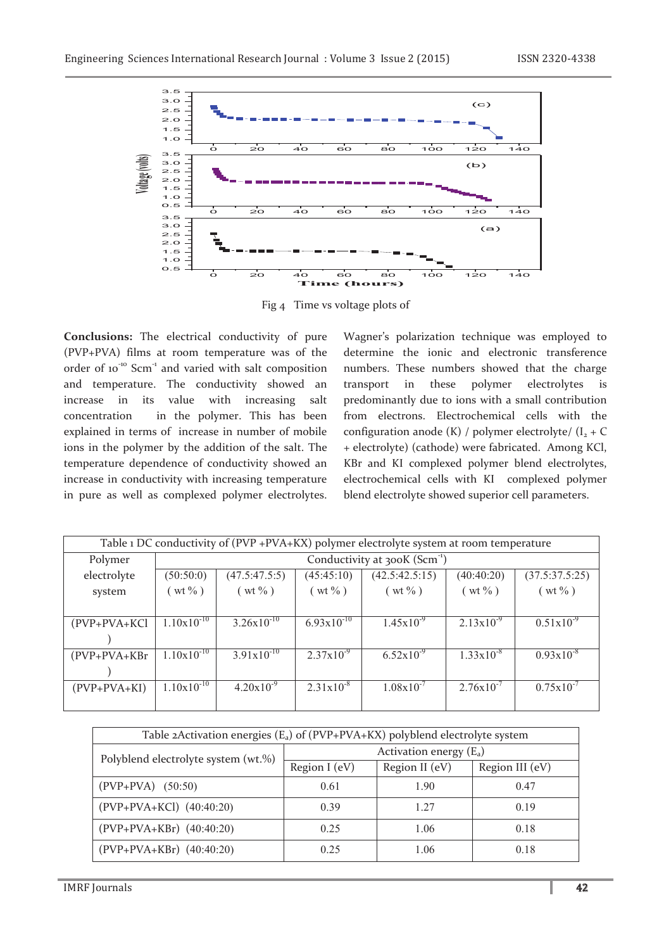

Fig 4 Time vs voltage plots of

**Conclusions:** The electrical conductivity of pure (PVP+PVA) films at room temperature was of the order of 10<sup>-10</sup> Scm<sup>-1</sup> and varied with salt composition and temperature. The conductivity showed an increase in its value with increasing salt concentration in the polymer. This has been explained in terms of increase in number of mobile ions in the polymer by the addition of the salt. The temperature dependence of conductivity showed an increase in conductivity with increasing temperature in pure as well as complexed polymer electrolytes.

Wagner's polarization technique was employed to determine the ionic and electronic transference numbers. These numbers showed that the charge transport in these polymer electrolytes is predominantly due to ions with a small contribution from electrons. Electrochemical cells with the configuration anode (K) / polymer electrolyte/  $(I_2 + C)$ + electrolyte) (cathode) were fabricated. Among KCl, KBr and KI complexed polymer blend electrolytes, electrochemical cells with KI complexed polymer blend electrolyte showed superior cell parameters.

| Table 1 DC conductivity of (PVP +PVA+KX) polymer electrolyte system at room temperature |                                           |                        |                        |                       |                       |                |
|-----------------------------------------------------------------------------------------|-------------------------------------------|------------------------|------------------------|-----------------------|-----------------------|----------------|
| Polymer                                                                                 | Conductivity at 300K (Scm <sup>-1</sup> ) |                        |                        |                       |                       |                |
| electrolyte                                                                             | (50:50:0)                                 | (47.5:47.5:5)          | (45:45:10)             | (42.5:42.5:15)        | (40:40:20)            | (37.5:37.5:25) |
| system                                                                                  | $(wt\% )$                                 | $(wt\% )$              | $(wt\% )$              | $(wt\% )$             | $(wt\% )$             | $(wt\% )$      |
|                                                                                         |                                           |                        |                        |                       |                       |                |
| (PVP+PVA+KCl                                                                            | $1.10x10^{-10}$                           | $3.26 \times 10^{-10}$ | $6.93 \times 10^{-10}$ | $1.45x10^{-9}$        | $2.13 \times 10^{-9}$ | $0.51x10^{-9}$ |
|                                                                                         |                                           |                        |                        |                       |                       |                |
| $(PVP+PVA+KBr$                                                                          | $1.10x10^{-10}$                           | $3.91x10^{-10}$        | $2.37x10^{-9}$         | $6.52 \times 10^{-9}$ | $1.33 \times 10^{-8}$ | $0.93x10^{-8}$ |
|                                                                                         |                                           |                        |                        |                       |                       |                |
| (PVP+PVA+KI)                                                                            | $1.10x10^{-10}$                           | $4.20x10^{-9}$         | $2.31x10^{-8}$         | $1.08 \times 10^{-7}$ | $2.76x10^{-7}$        | $0.75x10^{-7}$ |
|                                                                                         |                                           |                        |                        |                       |                       |                |

| Table 2Activation energies (E <sub>a</sub> ) of (PVP+PVA+KX) polyblend electrolyte system |                           |                |                 |  |  |
|-------------------------------------------------------------------------------------------|---------------------------|----------------|-----------------|--|--|
| Polyblend electrolyte system (wt.%)                                                       | Activation energy $(E_a)$ |                |                 |  |  |
|                                                                                           | Region I (eV)             | Region II (eV) | Region III (eV) |  |  |
| $(PVP+PVA)$ (50:50)                                                                       | 0.61                      | 1.90           | 0.47            |  |  |
| (PVP+PVA+KCl) (40:40:20)                                                                  | 0.39                      | 1 27           | 0.19            |  |  |
| (PVP+PVA+KBr) (40:40:20)                                                                  | 0.25                      | 1.06           | 0.18            |  |  |
| (PVP+PVA+KBr) (40:40:20)                                                                  | 0.25                      | 1.06           | 0.18            |  |  |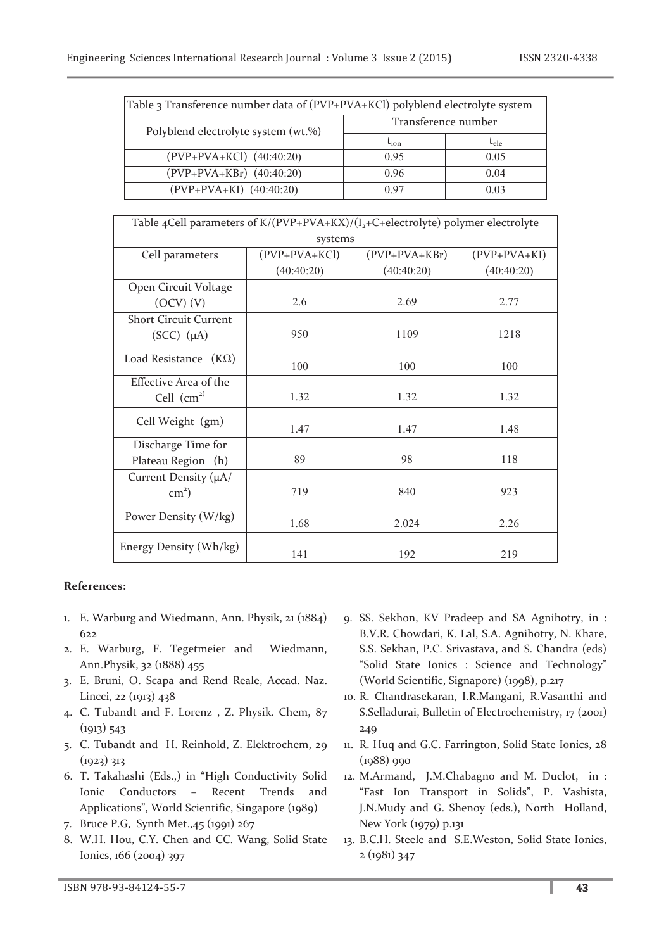| Table 3 Transference number data of (PVP+PVA+KCl) polyblend electrolyte system |                     |           |  |  |
|--------------------------------------------------------------------------------|---------------------|-----------|--|--|
| Polyblend electrolyte system (wt.%)                                            | Transference number |           |  |  |
|                                                                                | $t_{\rm ion}$       | $t_{ele}$ |  |  |
| (PVP+PVA+KCl) (40:40:20)                                                       | 0.95                | 0.05      |  |  |
| $(PVP+PVA+KBr)$ $(40:40:20)$                                                   | 0.96                | 0.04      |  |  |
| $(PVP+PVA+KI)$ $(40:40:20)$                                                    | 0.97                | 0.03      |  |  |

| Table 4Cell parameters of $K/(PVP+PVA+KX)/(I_2+C+electrolyte)$ polymer electrolyte |               |                     |                |  |  |  |  |
|------------------------------------------------------------------------------------|---------------|---------------------|----------------|--|--|--|--|
| systems                                                                            |               |                     |                |  |  |  |  |
| Cell parameters                                                                    | (PVP+PVA+KCl) | $(PVP + PVA + KBr)$ | $(PVP+PVA+KI)$ |  |  |  |  |
|                                                                                    | (40:40:20)    | (40:40:20)          | (40:40:20)     |  |  |  |  |
| Open Circuit Voltage                                                               |               |                     |                |  |  |  |  |
| (OCV) (V)                                                                          | 2.6           | 2.69                | 2.77           |  |  |  |  |
| <b>Short Circuit Current</b>                                                       |               |                     |                |  |  |  |  |
| $(SCC)$ $(\mu A)$                                                                  | 950           | 1109                | 1218           |  |  |  |  |
| Load Resistance $(K\Omega)$                                                        |               |                     |                |  |  |  |  |
|                                                                                    | 100           | 100                 | 100            |  |  |  |  |
| Effective Area of the                                                              |               |                     |                |  |  |  |  |
| Cell $\text{cm}^{2)}$                                                              | 1.32          | 1.32                | 1.32           |  |  |  |  |
| Cell Weight (gm)                                                                   |               |                     |                |  |  |  |  |
|                                                                                    | 1.47          | 1.47                | 1.48           |  |  |  |  |
| Discharge Time for                                                                 |               |                     |                |  |  |  |  |
| Plateau Region (h)                                                                 | 89            | 98                  | 118            |  |  |  |  |
| Current Density (µA/                                                               |               |                     |                |  |  |  |  |
| $\text{cm}^2$ )                                                                    | 719           | 840                 | 923            |  |  |  |  |
| Power Density (W/kg)                                                               |               |                     |                |  |  |  |  |
|                                                                                    | 1.68          | 2.024               | 2.26           |  |  |  |  |
| Energy Density (Wh/kg)                                                             | 141           | 192                 | 219            |  |  |  |  |

## **References:**

- 1. E. Warburg and Wiedmann, Ann. Physik, 21 (1884) 622
- 2. E. Warburg, F. Tegetmeier and Wiedmann, Ann.Physik, 32 (1888) 455
- 3. E. Bruni, O. Scapa and Rend Reale, Accad. Naz. Lincci, 22 (1913) 438
- 4. C. Tubandt and F. Lorenz , Z. Physik. Chem, 87  $(1913) 543$
- 5. C. Tubandt and H. Reinhold, Z. Elektrochem, 29 (1923) 313
- 6. T. Takahashi (Eds.,) in "High Conductivity Solid Ionic Conductors – Recent Trends and Applications", World Scientific, Singapore (1989)
- 7. Bruce P.G, Synth Met.,45 (1991) 267
- 8. W.H. Hou, C.Y. Chen and CC. Wang, Solid State Ionics, 166 (2004) 397
- 9. SS. Sekhon, KV Pradeep and SA Agnihotry, in : B.V.R. Chowdari, K. Lal, S.A. Agnihotry, N. Khare, S.S. Sekhan, P.C. Srivastava, and S. Chandra (eds) "Solid State Ionics : Science and Technology" (World Scientific, Signapore) (1998), p.217
- 10. R. Chandrasekaran, I.R.Mangani, R.Vasanthi and S.Selladurai, Bulletin of Electrochemistry, 17 (2001) 249
- 11. R. Huq and G.C. Farrington, Solid State Ionics, 28 (1988) 990
- 12. M.Armand, J.M.Chabagno and M. Duclot, in : "Fast Ion Transport in Solids", P. Vashista, J.N.Mudy and G. Shenoy (eds.), North Holland, New York (1979) p.131
- 13. B.C.H. Steele and S.E.Weston, Solid State Ionics, 2 (1981) 347